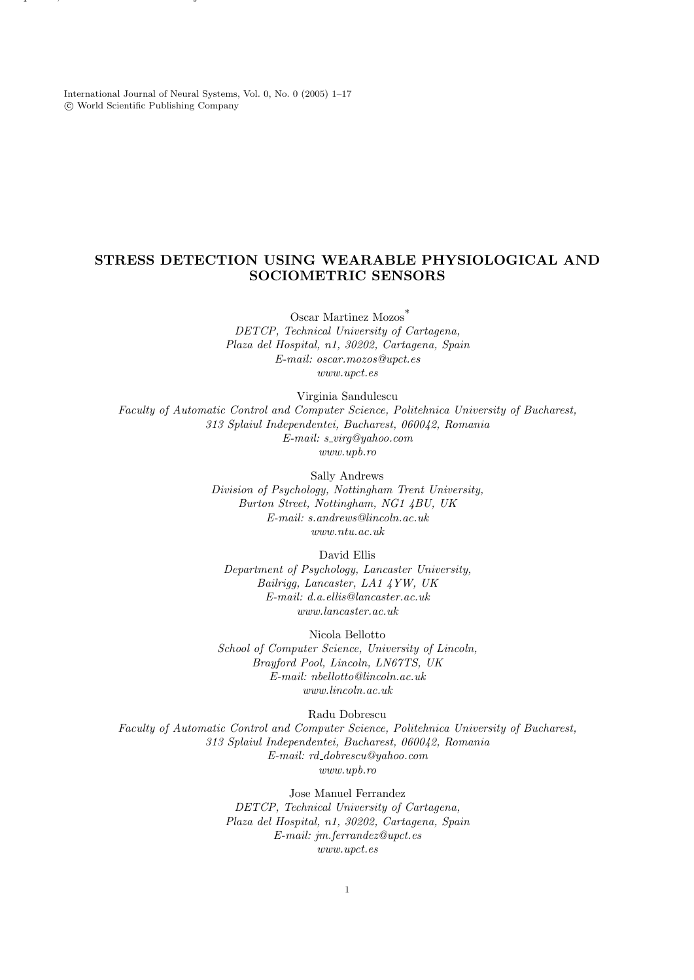International Journal of Neural Systems, Vol. 0, No. 0 (2005) 1–17 c World Scientific Publishing Company

 $\mathbf{1}$  and  $\mathbf{2}$  mozoscalization is  $\mathbf{3}$ 

# STRESS DETECTION USING WEARABLE PHYSIOLOGICAL AND SOCIOMETRIC SENSORS

Oscar Martinez Mozos\* DETCP, Technical University of Cartagena, Plaza del Hospital, n1, 30202, Cartagena, Spain E-mail: oscar.mozos@upct.es www.upct.es

Virginia Sandulescu Faculty of Automatic Control and Computer Science, Politehnica University of Bucharest, 313 Splaiul Independentei, Bucharest, 060042, Romania E-mail: s\_virg@yahoo.com www.upb.ro

> Sally Andrews Division of Psychology, Nottingham Trent University, Burton Street, Nottingham, NG1 4BU, UK E-mail: s.andrews@lincoln.ac.uk www.ntu.ac.uk

David Ellis Department of Psychology, Lancaster University, Bailrigg, Lancaster, LA1 4YW, UK E-mail: d.a.ellis@lancaster.ac.uk www.lancaster.ac.uk

Nicola Bellotto School of Computer Science, University of Lincoln, Brayford Pool, Lincoln, LN67TS, UK E-mail: nbellotto@lincoln.ac.uk www.lincoln.ac.uk

Radu Dobrescu

Faculty of Automatic Control and Computer Science, Politehnica University of Bucharest, 313 Splaiul Independentei, Bucharest, 060042, Romania E-mail: rd dobrescu@yahoo.com www.upb.ro

> Jose Manuel Ferrandez DETCP, Technical University of Cartagena, Plaza del Hospital, n1, 30202, Cartagena, Spain E-mail: jm.ferrandez@upct.es www.upct.es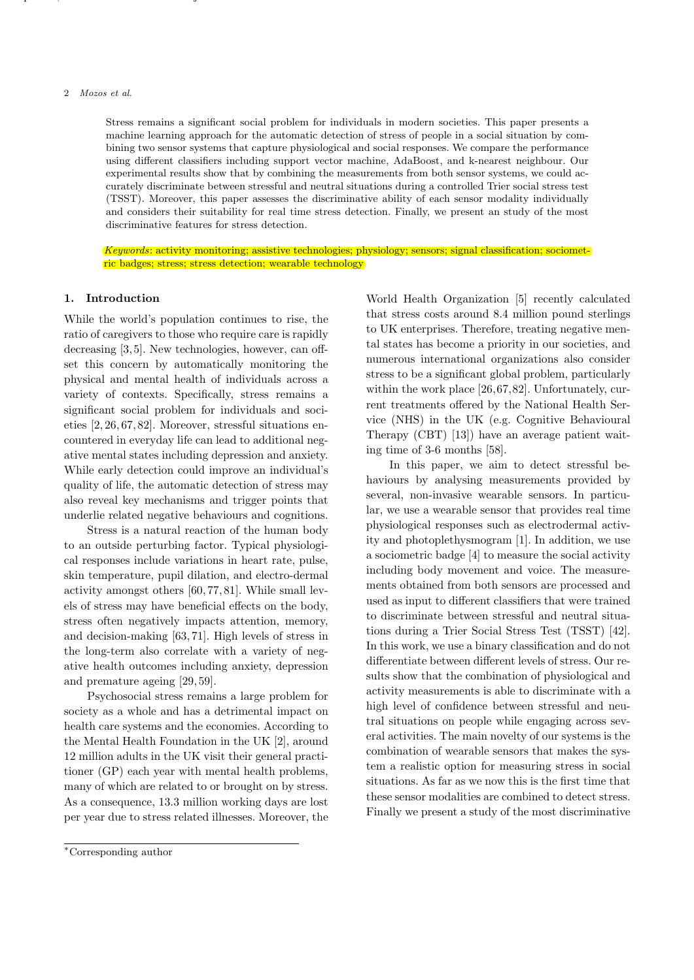$\mathbf{1}$  and  $\mathbf{2}$  mozoscalization is  $\mathbf{3}$ 

Stress remains a significant social problem for individuals in modern societies. This paper presents a machine learning approach for the automatic detection of stress of people in a social situation by combining two sensor systems that capture physiological and social responses. We compare the performance using different classifiers including support vector machine, AdaBoost, and k-nearest neighbour. Our experimental results show that by combining the measurements from both sensor systems, we could accurately discriminate between stressful and neutral situations during a controlled Trier social stress test (TSST). Moreover, this paper assesses the discriminative ability of each sensor modality individually and considers their suitability for real time stress detection. Finally, we present an study of the most discriminative features for stress detection.

Keywords: activity monitoring; assistive technologies; physiology; sensors; signal classification; sociometric badges; stress; stress detection; wearable technology

# 1. Introduction

While the world's population continues to rise, the ratio of caregivers to those who require care is rapidly decreasing [3, 5]. New technologies, however, can offset this concern by automatically monitoring the physical and mental health of individuals across a variety of contexts. Specifically, stress remains a significant social problem for individuals and societies [2, 26, 67, 82]. Moreover, stressful situations encountered in everyday life can lead to additional negative mental states including depression and anxiety. While early detection could improve an individual's quality of life, the automatic detection of stress may also reveal key mechanisms and trigger points that underlie related negative behaviours and cognitions.

Stress is a natural reaction of the human body to an outside perturbing factor. Typical physiological responses include variations in heart rate, pulse, skin temperature, pupil dilation, and electro-dermal activity amongst others [60, 77, 81]. While small levels of stress may have beneficial effects on the body, stress often negatively impacts attention, memory, and decision-making [63, 71]. High levels of stress in the long-term also correlate with a variety of negative health outcomes including anxiety, depression and premature ageing [29, 59].

Psychosocial stress remains a large problem for society as a whole and has a detrimental impact on health care systems and the economies. According to the Mental Health Foundation in the UK [2], around 12 million adults in the UK visit their general practitioner (GP) each year with mental health problems, many of which are related to or brought on by stress. As a consequence, 13.3 million working days are lost per year due to stress related illnesses. Moreover, the World Health Organization [5] recently calculated that stress costs around 8.4 million pound sterlings to UK enterprises. Therefore, treating negative mental states has become a priority in our societies, and numerous international organizations also consider stress to be a significant global problem, particularly within the work place [26,67,82]. Unfortunately, current treatments offered by the National Health Service (NHS) in the UK (e.g. Cognitive Behavioural Therapy (CBT) [13]) have an average patient waiting time of 3-6 months [58].

In this paper, we aim to detect stressful behaviours by analysing measurements provided by several, non-invasive wearable sensors. In particular, we use a wearable sensor that provides real time physiological responses such as electrodermal activity and photoplethysmogram [1]. In addition, we use a sociometric badge [4] to measure the social activity including body movement and voice. The measurements obtained from both sensors are processed and used as input to different classifiers that were trained to discriminate between stressful and neutral situations during a Trier Social Stress Test (TSST) [42]. In this work, we use a binary classification and do not differentiate between different levels of stress. Our results show that the combination of physiological and activity measurements is able to discriminate with a high level of confidence between stressful and neutral situations on people while engaging across several activities. The main novelty of our systems is the combination of wearable sensors that makes the system a realistic option for measuring stress in social situations. As far as we now this is the first time that these sensor modalities are combined to detect stress. Finally we present a study of the most discriminative

<sup>∗</sup>Corresponding author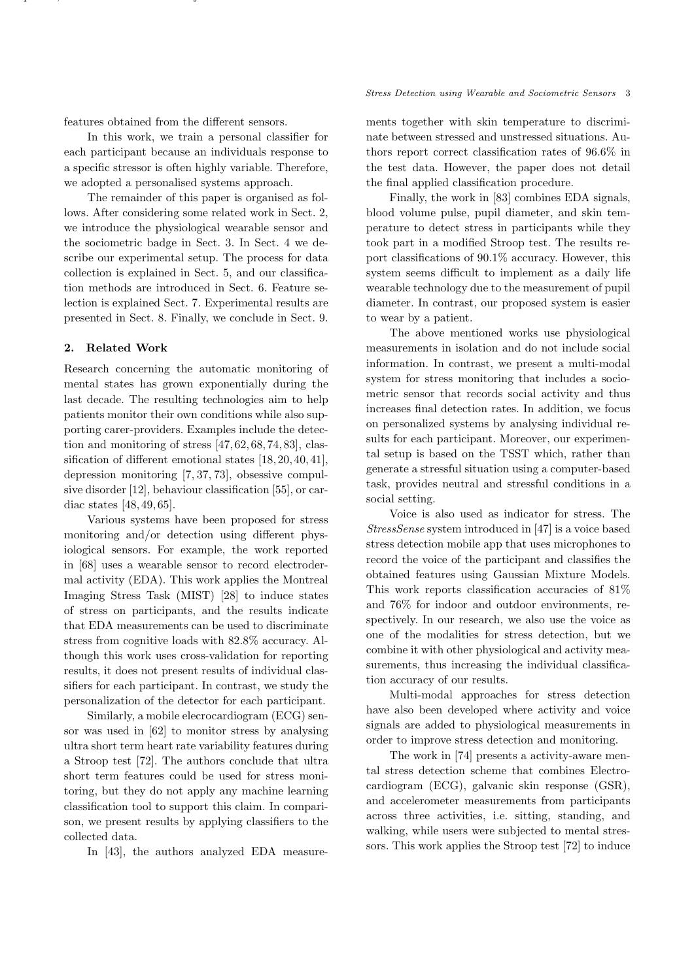features obtained from the different sensors.

In this work, we train a personal classifier for each participant because an individuals response to a specific stressor is often highly variable. Therefore, we adopted a personalised systems approach.

The remainder of this paper is organised as follows. After considering some related work in Sect. 2, we introduce the physiological wearable sensor and the sociometric badge in Sect. 3. In Sect. 4 we describe our experimental setup. The process for data collection is explained in Sect. 5, and our classification methods are introduced in Sect. 6. Feature selection is explained Sect. 7. Experimental results are presented in Sect. 8. Finally, we conclude in Sect. 9.

### 2. Related Work

 $\mathbf{1}$  and  $\mathbf{2}$  mozoscalization is  $\mathbf{3}$ 

Research concerning the automatic monitoring of mental states has grown exponentially during the last decade. The resulting technologies aim to help patients monitor their own conditions while also supporting carer-providers. Examples include the detection and monitoring of stress [47, 62, 68, 74, 83], classification of different emotional states [18, 20, 40, 41], depression monitoring [7, 37, 73], obsessive compulsive disorder [12], behaviour classification [55], or cardiac states [48, 49, 65].

Various systems have been proposed for stress monitoring and/or detection using different physiological sensors. For example, the work reported in [68] uses a wearable sensor to record electrodermal activity (EDA). This work applies the Montreal Imaging Stress Task (MIST) [28] to induce states of stress on participants, and the results indicate that EDA measurements can be used to discriminate stress from cognitive loads with 82.8% accuracy. Although this work uses cross-validation for reporting results, it does not present results of individual classifiers for each participant. In contrast, we study the personalization of the detector for each participant.

Similarly, a mobile elecrocardiogram (ECG) sensor was used in [62] to monitor stress by analysing ultra short term heart rate variability features during a Stroop test [72]. The authors conclude that ultra short term features could be used for stress monitoring, but they do not apply any machine learning classification tool to support this claim. In comparison, we present results by applying classifiers to the collected data.

In [43], the authors analyzed EDA measure-

ments together with skin temperature to discriminate between stressed and unstressed situations. Authors report correct classification rates of 96.6% in the test data. However, the paper does not detail the final applied classification procedure.

Finally, the work in [83] combines EDA signals, blood volume pulse, pupil diameter, and skin temperature to detect stress in participants while they took part in a modified Stroop test. The results report classifications of 90.1% accuracy. However, this system seems difficult to implement as a daily life wearable technology due to the measurement of pupil diameter. In contrast, our proposed system is easier to wear by a patient.

The above mentioned works use physiological measurements in isolation and do not include social information. In contrast, we present a multi-modal system for stress monitoring that includes a sociometric sensor that records social activity and thus increases final detection rates. In addition, we focus on personalized systems by analysing individual results for each participant. Moreover, our experimental setup is based on the TSST which, rather than generate a stressful situation using a computer-based task, provides neutral and stressful conditions in a social setting.

Voice is also used as indicator for stress. The StressSense system introduced in [47] is a voice based stress detection mobile app that uses microphones to record the voice of the participant and classifies the obtained features using Gaussian Mixture Models. This work reports classification accuracies of 81% and 76% for indoor and outdoor environments, respectively. In our research, we also use the voice as one of the modalities for stress detection, but we combine it with other physiological and activity measurements, thus increasing the individual classification accuracy of our results.

Multi-modal approaches for stress detection have also been developed where activity and voice signals are added to physiological measurements in order to improve stress detection and monitoring.

The work in [74] presents a activity-aware mental stress detection scheme that combines Electrocardiogram (ECG), galvanic skin response (GSR), and accelerometer measurements from participants across three activities, i.e. sitting, standing, and walking, while users were subjected to mental stressors. This work applies the Stroop test [72] to induce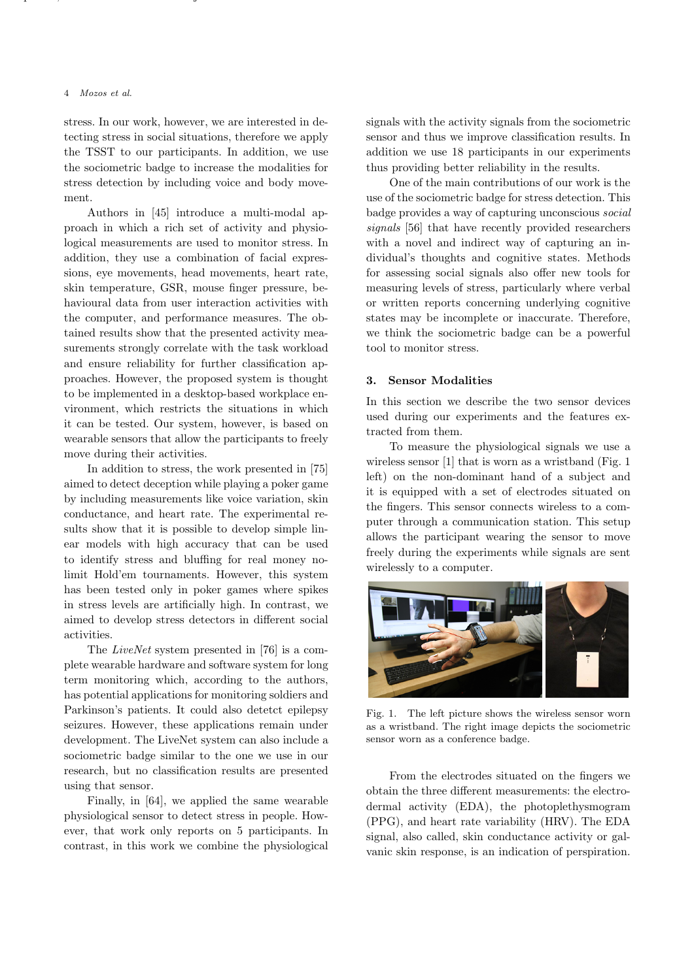$\mathbf{1}$  and  $\mathbf{2}$  mozoscalization is  $\mathbf{3}$ 

stress. In our work, however, we are interested in detecting stress in social situations, therefore we apply the TSST to our participants. In addition, we use the sociometric badge to increase the modalities for stress detection by including voice and body movement.

Authors in [45] introduce a multi-modal approach in which a rich set of activity and physiological measurements are used to monitor stress. In addition, they use a combination of facial expressions, eye movements, head movements, heart rate, skin temperature, GSR, mouse finger pressure, behavioural data from user interaction activities with the computer, and performance measures. The obtained results show that the presented activity measurements strongly correlate with the task workload and ensure reliability for further classification approaches. However, the proposed system is thought to be implemented in a desktop-based workplace environment, which restricts the situations in which it can be tested. Our system, however, is based on wearable sensors that allow the participants to freely move during their activities.

In addition to stress, the work presented in [75] aimed to detect deception while playing a poker game by including measurements like voice variation, skin conductance, and heart rate. The experimental results show that it is possible to develop simple linear models with high accuracy that can be used to identify stress and bluffing for real money nolimit Hold'em tournaments. However, this system has been tested only in poker games where spikes in stress levels are artificially high. In contrast, we aimed to develop stress detectors in different social activities.

The *LiveNet* system presented in [76] is a complete wearable hardware and software system for long term monitoring which, according to the authors, has potential applications for monitoring soldiers and Parkinson's patients. It could also detetct epilepsy seizures. However, these applications remain under development. The LiveNet system can also include a sociometric badge similar to the one we use in our research, but no classification results are presented using that sensor.

Finally, in [64], we applied the same wearable physiological sensor to detect stress in people. However, that work only reports on 5 participants. In contrast, in this work we combine the physiological signals with the activity signals from the sociometric sensor and thus we improve classification results. In addition we use 18 participants in our experiments thus providing better reliability in the results.

One of the main contributions of our work is the use of the sociometric badge for stress detection. This badge provides a way of capturing unconscious social signals [56] that have recently provided researchers with a novel and indirect way of capturing an individual's thoughts and cognitive states. Methods for assessing social signals also offer new tools for measuring levels of stress, particularly where verbal or written reports concerning underlying cognitive states may be incomplete or inaccurate. Therefore, we think the sociometric badge can be a powerful tool to monitor stress.

# 3. Sensor Modalities

In this section we describe the two sensor devices used during our experiments and the features extracted from them.

To measure the physiological signals we use a wireless sensor [1] that is worn as a wristband (Fig. 1 left) on the non-dominant hand of a subject and it is equipped with a set of electrodes situated on the fingers. This sensor connects wireless to a computer through a communication station. This setup allows the participant wearing the sensor to move freely during the experiments while signals are sent wirelessly to a computer.



Fig. 1. The left picture shows the wireless sensor worn as a wristband. The right image depicts the sociometric sensor worn as a conference badge.

From the electrodes situated on the fingers we obtain the three different measurements: the electrodermal activity (EDA), the photoplethysmogram (PPG), and heart rate variability (HRV). The EDA signal, also called, skin conductance activity or galvanic skin response, is an indication of perspiration.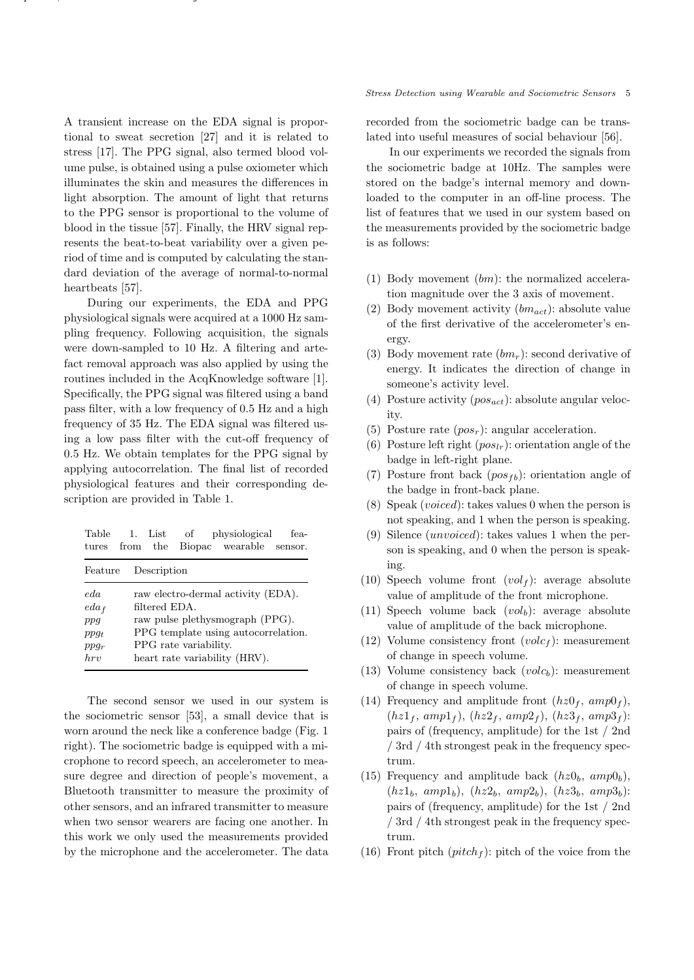A transient increase on the EDA signal is proportional to sweat secretion [27] and it is related to stress [17]. The PPG signal, also termed blood volume pulse, is obtained using a pulse oxiometer which illuminates the skin and measures the differences in light absorption. The amount of light that returns to the PPG sensor is proportional to the volume of blood in the tissue [57]. Finally, the HRV signal represents the beat-to-beat variability over a given period of time and is computed by calculating the standard deviation of the average of normal-to-normal heartbeats [57].

 $\mathbf{1}$  and  $\mathbf{2}$  mozoscalization is  $\mathbf{3}$ 

During our experiments, the EDA and PPG physiological signals were acquired at a 1000 Hz sampling frequency. Following acquisition, the signals were down-sampled to 10 Hz. A filtering and artefact removal approach was also applied by using the routines included in the AcqKnowledge software [1]. Specifically, the PPG signal was filtered using a band pass filter, with a low frequency of 0.5 Hz and a high frequency of 35 Hz. The EDA signal was filtered using a low pass filter with the cut-off frequency of 0.5 Hz. We obtain templates for the PPG signal by applying autocorrelation. The final list of recorded physiological features and their corresponding description are provided in Table 1.

| Table 1. List  |                  |                                     | of | physiological                      | fea- |  |  |
|----------------|------------------|-------------------------------------|----|------------------------------------|------|--|--|
| tures from the |                  |                                     |    | Biopac wearable sensor.            |      |  |  |
| Feature        |                  | Description                         |    |                                    |      |  |  |
| eda            |                  |                                     |    | raw electro-dermal activity (EDA). |      |  |  |
| $_{eda}$       | $filtered EDA$ . |                                     |    |                                    |      |  |  |
| ppq            |                  | raw pulse plethysmograph (PPG).     |    |                                    |      |  |  |
| $ppq_t$        |                  | PPG template using autocorrelation. |    |                                    |      |  |  |
| $ppg_r$        |                  | PPG rate variability.               |    |                                    |      |  |  |
| hrv            |                  |                                     |    | heart rate variability (HRV).      |      |  |  |

The second sensor we used in our system is the sociometric sensor [53], a small device that is worn around the neck like a conference badge (Fig. 1 right). The sociometric badge is equipped with a microphone to record speech, an accelerometer to measure degree and direction of people's movement, a Bluetooth transmitter to measure the proximity of other sensors, and an infrared transmitter to measure when two sensor wearers are facing one another. In this work we only used the measurements provided by the microphone and the accelerometer. The data recorded from the sociometric badge can be translated into useful measures of social behaviour [56].

In our experiments we recorded the signals from the sociometric badge at 10Hz. The samples were stored on the badge's internal memory and downloaded to the computer in an off-line process. The list of features that we used in our system based on the measurements provided by the sociometric badge is as follows:

- (1) Body movement  $(bm)$ : the normalized acceleration magnitude over the 3 axis of movement.
- (2) Body movement activity  $(bm_{act})$ : absolute value of the first derivative of the accelerometer's energy.
- (3) Body movement rate  $(bm_r)$ : second derivative of energy. It indicates the direction of change in someone's activity level.
- (4) Posture activity  $(pos_{act})$ : absolute angular velocity.
- (5) Posture rate  $(pos<sub>r</sub>)$ : angular acceleration.
- (6) Posture left right  $(pos<sub>lr</sub>)$ : orientation angle of the badge in left-right plane.
- (7) Posture front back  $(pos_{fb})$ : orientation angle of the badge in front-back plane.
- (8) Speak (voiced): takes values 0 when the person is not speaking, and 1 when the person is speaking.
- (9) Silence (unvoiced): takes values 1 when the person is speaking, and 0 when the person is speaking.
- (10) Speech volume front  $(vol<sub>f</sub>)$ : average absolute value of amplitude of the front microphone.
- (11) Speech volume back  $(vol_b)$ : average absolute value of amplitude of the back microphone.
- (12) Volume consistency front  $(volc_f)$ : measurement of change in speech volume.
- (13) Volume consistency back  $(volc_b)$ : measurement of change in speech volume.
- (14) Frequency and amplitude front  $(hz0<sub>f</sub>, amp0<sub>f</sub>)$ ,  $(hz1_f, amp1_f), (hz2_f, amp2_f), (hz3_f, amp3_f)$ : pairs of (frequency, amplitude) for the 1st / 2nd / 3rd / 4th strongest peak in the frequency spectrum.
- (15) Frequency and amplitude back  $(hz0<sub>b</sub>, amp0<sub>b</sub>)$ ,  $(hz1<sub>b</sub>, amp1<sub>b</sub>), (hz2<sub>b</sub>, amp2<sub>b</sub>), (hz3<sub>b</sub>, amp3<sub>b</sub>)$ : pairs of (frequency, amplitude) for the 1st / 2nd / 3rd / 4th strongest peak in the frequency spectrum.
- (16) Front pitch  $(pitch_f)$ : pitch of the voice from the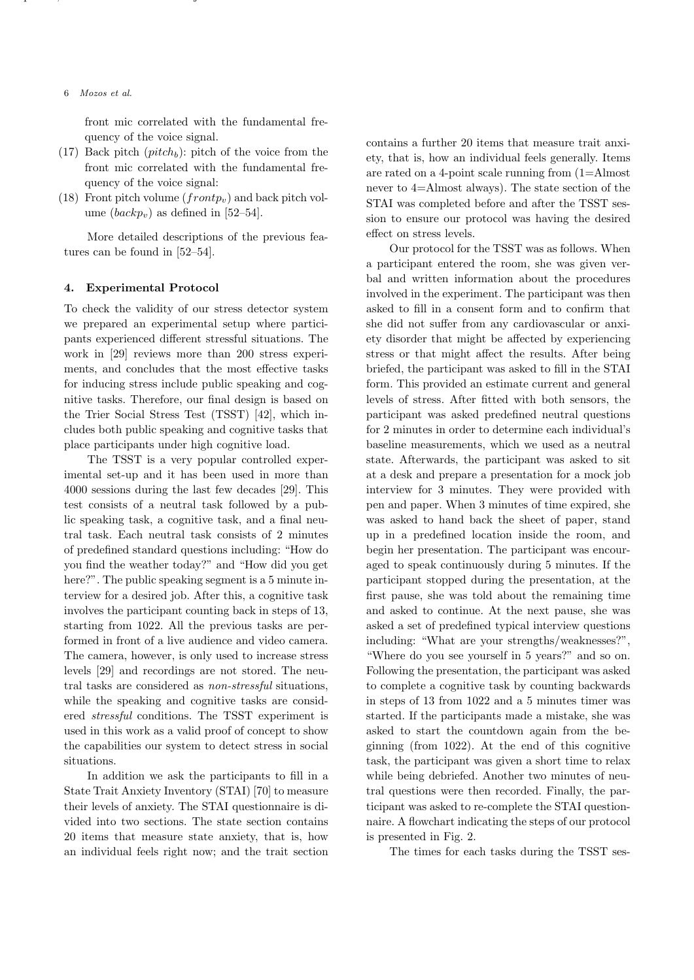$\mathbf{1}$  and  $\mathbf{2}$  mozoscalization is  $\mathbf{3}$ 

front mic correlated with the fundamental frequency of the voice signal.

- (17) Back pitch  $(pitch_b):$  pitch of the voice from the front mic correlated with the fundamental frequency of the voice signal:
- (18) Front pitch volume  $(fromtp_v)$  and back pitch volume  $(backp_v)$  as defined in [52–54].

More detailed descriptions of the previous features can be found in [52–54].

#### 4. Experimental Protocol

To check the validity of our stress detector system we prepared an experimental setup where participants experienced different stressful situations. The work in [29] reviews more than 200 stress experiments, and concludes that the most effective tasks for inducing stress include public speaking and cognitive tasks. Therefore, our final design is based on the Trier Social Stress Test (TSST) [42], which includes both public speaking and cognitive tasks that place participants under high cognitive load.

The TSST is a very popular controlled experimental set-up and it has been used in more than 4000 sessions during the last few decades [29]. This test consists of a neutral task followed by a public speaking task, a cognitive task, and a final neutral task. Each neutral task consists of 2 minutes of predefined standard questions including: "How do you find the weather today?" and "How did you get here?". The public speaking segment is a 5 minute interview for a desired job. After this, a cognitive task involves the participant counting back in steps of 13, starting from 1022. All the previous tasks are performed in front of a live audience and video camera. The camera, however, is only used to increase stress levels [29] and recordings are not stored. The neutral tasks are considered as non-stressful situations, while the speaking and cognitive tasks are considered stressful conditions. The TSST experiment is used in this work as a valid proof of concept to show the capabilities our system to detect stress in social situations.

In addition we ask the participants to fill in a State Trait Anxiety Inventory (STAI) [70] to measure their levels of anxiety. The STAI questionnaire is divided into two sections. The state section contains 20 items that measure state anxiety, that is, how an individual feels right now; and the trait section contains a further 20 items that measure trait anxiety, that is, how an individual feels generally. Items are rated on a 4-point scale running from (1=Almost never to 4=Almost always). The state section of the STAI was completed before and after the TSST session to ensure our protocol was having the desired effect on stress levels.

Our protocol for the TSST was as follows. When a participant entered the room, she was given verbal and written information about the procedures involved in the experiment. The participant was then asked to fill in a consent form and to confirm that she did not suffer from any cardiovascular or anxiety disorder that might be affected by experiencing stress or that might affect the results. After being briefed, the participant was asked to fill in the STAI form. This provided an estimate current and general levels of stress. After fitted with both sensors, the participant was asked predefined neutral questions for 2 minutes in order to determine each individual's baseline measurements, which we used as a neutral state. Afterwards, the participant was asked to sit at a desk and prepare a presentation for a mock job interview for 3 minutes. They were provided with pen and paper. When 3 minutes of time expired, she was asked to hand back the sheet of paper, stand up in a predefined location inside the room, and begin her presentation. The participant was encouraged to speak continuously during 5 minutes. If the participant stopped during the presentation, at the first pause, she was told about the remaining time and asked to continue. At the next pause, she was asked a set of predefined typical interview questions including: "What are your strengths/weaknesses?". "Where do you see yourself in 5 years?" and so on. Following the presentation, the participant was asked to complete a cognitive task by counting backwards in steps of 13 from 1022 and a 5 minutes timer was started. If the participants made a mistake, she was asked to start the countdown again from the beginning (from 1022). At the end of this cognitive task, the participant was given a short time to relax while being debriefed. Another two minutes of neutral questions were then recorded. Finally, the participant was asked to re-complete the STAI questionnaire. A flowchart indicating the steps of our protocol is presented in Fig. 2.

The times for each tasks during the TSST ses-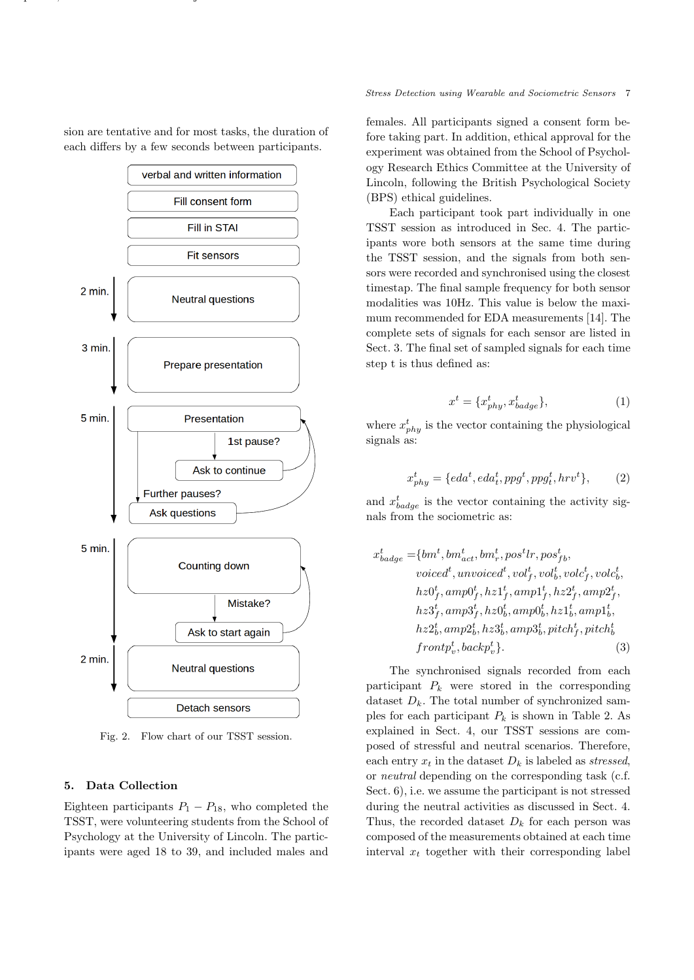sion are tentative and for most tasks, the duration of each differs by a few seconds between participants.

 $\mathbf{1}$  and  $\mathbf{2}$  mozoscalization is  $\mathbf{3}$ 



Fig. 2. Flow chart of our TSST session.

# 5. Data Collection

Eighteen participants  $P_1 - P_{18}$ , who completed the TSST, were volunteering students from the School of Psychology at the University of Lincoln. The participants were aged 18 to 39, and included males and females. All participants signed a consent form before taking part. In addition, ethical approval for the experiment was obtained from the School of Psychology Research Ethics Committee at the University of Lincoln, following the British Psychological Society (BPS) ethical guidelines.

Each participant took part individually in one TSST session as introduced in Sec. 4. The participants wore both sensors at the same time during the TSST session, and the signals from both sensors were recorded and synchronised using the closest timestap. The final sample frequency for both sensor modalities was 10Hz. This value is below the maximum recommended for EDA measurements [14]. The complete sets of signals for each sensor are listed in Sect. 3. The final set of sampled signals for each time step t is thus defined as:

$$
x^{t} = \{x_{phy}^{t}, x_{badge}^{t}\},\tag{1}
$$

where  $x_{phy}^{t}$  is the vector containing the physiological signals as:

$$
x_{phy}^t = \{eda^t, eda_t^t, ppg_t^t, hrv^t\},\qquad(2)
$$

and  $x_{badge}^t$  is the vector containing the activity signals from the sociometric as:

$$
x_{badge}^{t} = \{bm^t, bm_{act}^t, bm_r^t, pos^tlr, pos_{fb}^t, \n\nuoiced^t, unvoiced^t, vol_{f}^t, vol_{b}^t, vol_{f}^t, vol_{c}^t, \nhz0_f^t, amp0_f^t, hz1_f^t, amp1_f^t, hz2_f^t, amp2_f^t, \nhz3_f^t, amp3_f^t, hz0_b^t, amp0_b^t, hz1_b^t, amp1_b^t, \nhz2_b^t, amp2_b^t, hz3_b^t, amp3_b^t, pitch_f^t, pitch_b^t, \n\nfrontp_v^t, backp_v^t\}.
$$
\n(3)

The synchronised signals recorded from each participant  $P_k$  were stored in the corresponding dataset  $D_k$ . The total number of synchronized samples for each participant  $P_k$  is shown in Table 2. As explained in Sect. 4, our TSST sessions are composed of stressful and neutral scenarios. Therefore, each entry  $x_t$  in the dataset  $D_k$  is labeled as *stressed*, or neutral depending on the corresponding task (c.f. Sect. 6), i.e. we assume the participant is not stressed during the neutral activities as discussed in Sect. 4. Thus, the recorded dataset  $D_k$  for each person was composed of the measurements obtained at each time interval  $x_t$  together with their corresponding label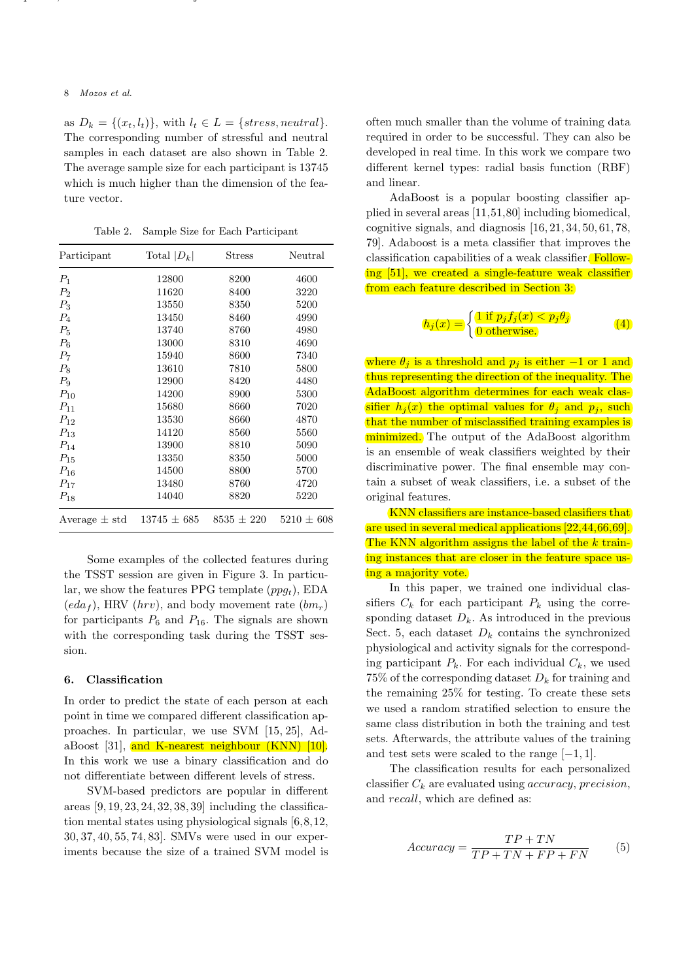$\mathbf{1}$  and  $\mathbf{2}$  mozoscalization is  $\mathbf{3}$ 

as  $D_k = \{(x_t, l_t)\}\$ , with  $l_t \in L = \{stress, neutral\}$ . The corresponding number of stressful and neutral samples in each dataset are also shown in Table 2. The average sample size for each participant is 13745 which is much higher than the dimension of the feature vector.

Table 2. Sample Size for Each Participant

| Participant        | Total $ D_k $   | <b>Stress</b>  | Neutral        |
|--------------------|-----------------|----------------|----------------|
| $P_1$              | 12800           | 8200           | 4600           |
| $P_2$              | 11620           | 8400           | 3220           |
| $P_3$              | 13550           | 8350           | 5200           |
| $P_4$              | 13450           | 8460           | 4990           |
| $P_5$              | 13740           | 8760           | 4980           |
| $P_6$              | 13000           | 8310           | 4690           |
| $P_7$              | 15940           | 8600           | 7340           |
| $P_8$              | 13610           | 7810           | 5800           |
| $P_9$              | 12900           | 8420           | 4480           |
| $\mathcal{P}_{10}$ | 14200           | 8900           | 5300           |
| $P_{11}$           | 15680           | 8660           | 7020           |
| $P_{12}$           | 13530           | 8660           | 4870           |
| $P_{13}$           | 14120           | 8560           | 5560           |
| $P_{14}$           | 13900           | 8810           | 5090           |
| $P_{15}$           | 13350           | 8350           | 5000           |
| $P_{16}$           | 14500           | 8800           | 5700           |
| $P_{17}$           | 13480           | 8760           | 4720           |
| $P_{18}$           | 14040           | 8820           | 5220           |
| Average $\pm$ std  | $13745 \pm 685$ | $8535 \pm 220$ | $5210 \pm 608$ |

Some examples of the collected features during the TSST session are given in Figure 3. In particular, we show the features PPG template  $(ppq_t)$ , EDA  $(eda_f)$ , HRV  $(hrv)$ , and body movement rate  $(bm_r)$ for participants  $P_6$  and  $P_{16}$ . The signals are shown with the corresponding task during the TSST session.

# 6. Classification

In order to predict the state of each person at each point in time we compared different classification approaches. In particular, we use SVM [15, 25], AdaBoost [31], and K-nearest neighbour (KNN) [10]. In this work we use a binary classification and do not differentiate between different levels of stress.

SVM-based predictors are popular in different areas [9, 19, 23, 24, 32, 38, 39] including the classification mental states using physiological signals [6,8,12, 30, 37, 40, 55, 74, 83]. SMVs were used in our experiments because the size of a trained SVM model is

often much smaller than the volume of training data required in order to be successful. They can also be developed in real time. In this work we compare two different kernel types: radial basis function (RBF) and linear.

AdaBoost is a popular boosting classifier applied in several areas [11,51,80] including biomedical, cognitive signals, and diagnosis  $[16, 21, 34, 50, 61, 78,$ 79]. Adaboost is a meta classifier that improves the classification capabilities of a weak classifier. Following [51], we created a single-feature weak classifier from each feature described in Section 3:

$$
h_j(x) = \begin{cases} 1 \text{ if } p_j f_j(x) < p_j \theta_j \\ 0 \text{ otherwise.} \end{cases} \tag{4}
$$

where  $\theta_j$  is a threshold and  $p_j$  is either −1 or 1 and thus representing the direction of the inequality. The AdaBoost algorithm determines for each weak classifier  $h_i(x)$  the optimal values for  $\theta_i$  and  $p_i$ , such that the number of misclassified training examples is minimized. The output of the AdaBoost algorithm is an ensemble of weak classifiers weighted by their discriminative power. The final ensemble may contain a subset of weak classifiers, i.e. a subset of the original features.

KNN classifiers are instance-based clasifiers that are used in several medical applications [22,44,66,69]. The KNN algorithm assigns the label of the k training instances that are closer in the feature space using a majority vote.

In this paper, we trained one individual classifiers  $C_k$  for each participant  $P_k$  using the corresponding dataset  $D_k$ . As introduced in the previous Sect. 5, each dataset  $D_k$  contains the synchronized physiological and activity signals for the corresponding participant  $P_k$ . For each individual  $C_k$ , we used  $75\%$  of the corresponding dataset  $D_k$  for training and the remaining 25% for testing. To create these sets we used a random stratified selection to ensure the same class distribution in both the training and test sets. Afterwards, the attribute values of the training and test sets were scaled to the range  $[-1, 1]$ .

The classification results for each personalized classifier  $C_k$  are evaluated using *accuracy*, precision, and recall, which are defined as:

$$
Accuracy = \frac{TP + TN}{TP + TN + FP + FN}
$$
 (5)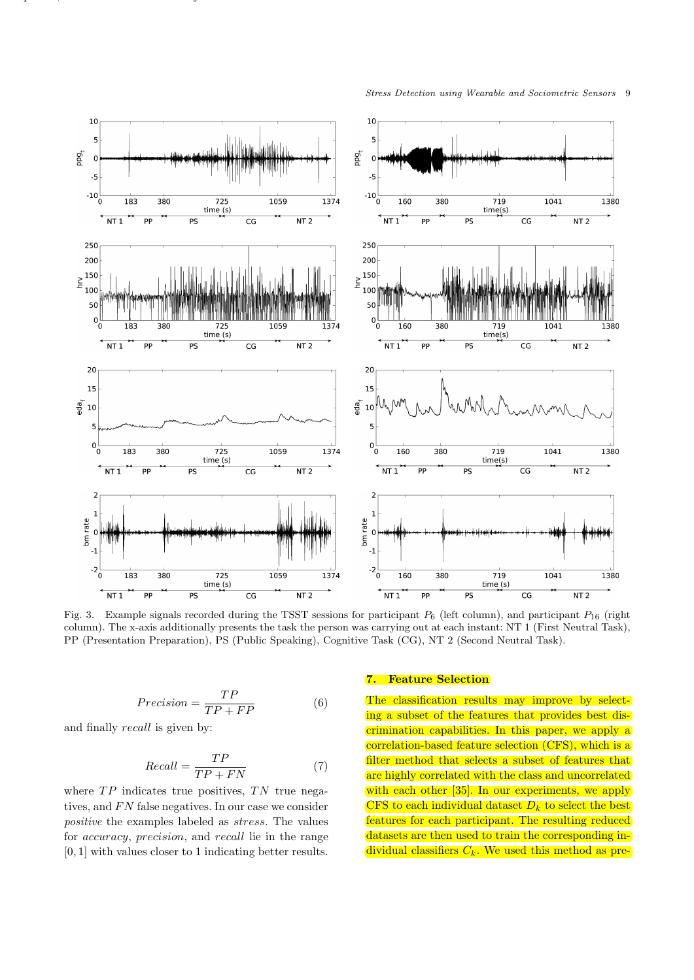

Fig. 3. Example signals recorded during the TSST sessions for participant  $P_6$  (left column), and participant  $P_{16}$  (right column). The x-axis additionally presents the task the person was carrying out at each instant: NT 1 (First Neutral Task), PP (Presentation Preparation), PS (Public Speaking), Cognitive Task (CG), NT 2 (Second Neutral Task).

$$
Precision = \frac{TP}{TP + FP}
$$
 (6)

and finally recall is given by:

 $\mathbf{1}$  and  $\mathbf{2}$  mozoscalization is  $\mathbf{3}$ 

$$
Recall = \frac{TP}{TP + FN} \tag{7}
$$

where  $TP$  indicates true positives,  $TN$  true negatives, and  $FN$  false negatives. In our case we consider positive the examples labeled as stress. The values for accuracy, precision, and recall lie in the range [0, 1] with values closer to 1 indicating better results.

## 7. Feature Selection

The classification results may improve by selecting a subset of the features that provides best discrimination capabilities. In this paper, we apply a correlation-based feature selection (CFS), which is a filter method that selects a subset of features that are highly correlated with the class and uncorrelated with each other [35]. In our experiments, we apply CFS to each individual dataset  $D_k$  to select the best features for each participant. The resulting reduced datasets are then used to train the corresponding individual classifiers  $C_k$ . We used this method as pre-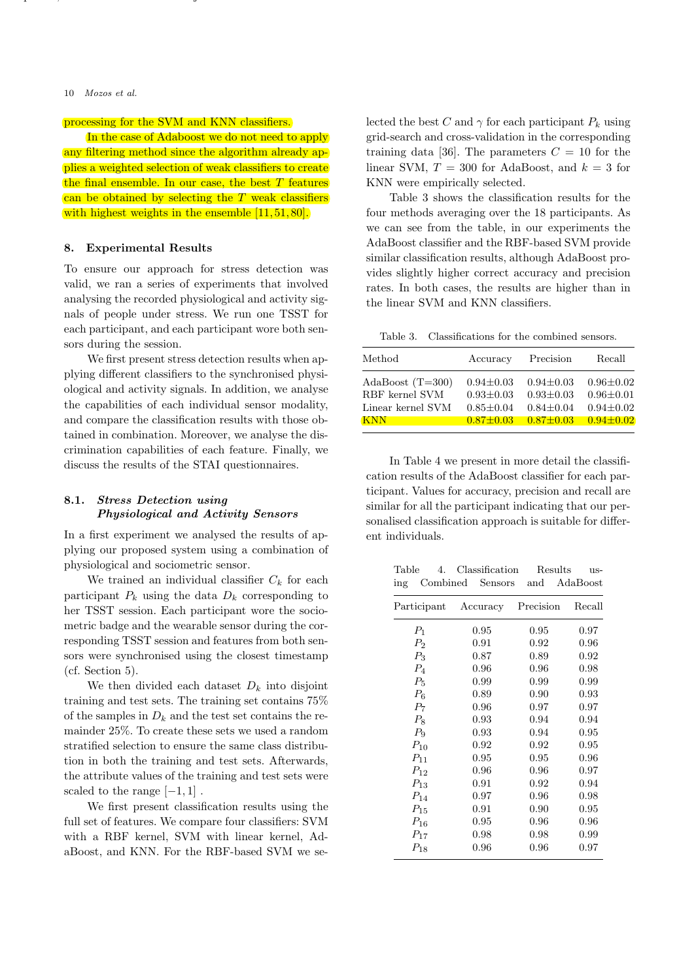$\mathbf{1}$  and  $\mathbf{2}$  mozoscalization is  $\mathbf{3}$ 

processing for the SVM and KNN classifiers.

In the case of Adaboost we do not need to apply any filtering method since the algorithm already applies a weighted selection of weak classifiers to create the final ensemble. In our case, the best  $T$  features can be obtained by selecting the  $T$  weak classifiers with highest weights in the ensemble  $[11, 51, 80]$ .

### 8. Experimental Results

To ensure our approach for stress detection was valid, we ran a series of experiments that involved analysing the recorded physiological and activity signals of people under stress. We run one TSST for each participant, and each participant wore both sensors during the session.

We first present stress detection results when applying different classifiers to the synchronised physiological and activity signals. In addition, we analyse the capabilities of each individual sensor modality, and compare the classification results with those obtained in combination. Moreover, we analyse the discrimination capabilities of each feature. Finally, we discuss the results of the STAI questionnaires.

# 8.1. Stress Detection using Physiological and Activity Sensors

In a first experiment we analysed the results of applying our proposed system using a combination of physiological and sociometric sensor.

We trained an individual classifier  $C_k$  for each participant  $P_k$  using the data  $D_k$  corresponding to her TSST session. Each participant wore the sociometric badge and the wearable sensor during the corresponding TSST session and features from both sensors were synchronised using the closest timestamp (cf. Section 5).

We then divided each dataset  $D_k$  into disjoint training and test sets. The training set contains 75% of the samples in  $D_k$  and the test set contains the remainder 25%. To create these sets we used a random stratified selection to ensure the same class distribution in both the training and test sets. Afterwards, the attribute values of the training and test sets were scaled to the range  $[-1, 1]$ .

We first present classification results using the full set of features. We compare four classifiers: SVM with a RBF kernel, SVM with linear kernel, AdaBoost, and KNN. For the RBF-based SVM we selected the best C and  $\gamma$  for each participant  $P_k$  using grid-search and cross-validation in the corresponding training data [36]. The parameters  $C = 10$  for the linear SVM,  $T = 300$  for AdaBoost, and  $k = 3$  for KNN were empirically selected.

Table 3 shows the classification results for the four methods averaging over the 18 participants. As we can see from the table, in our experiments the AdaBoost classifier and the RBF-based SVM provide similar classification results, although AdaBoost provides slightly higher correct accuracy and precision rates. In both cases, the results are higher than in the linear SVM and KNN classifiers.

Table 3. Classifications for the combined sensors.

| Method             | Accuracy        | Precision       | Recall          |
|--------------------|-----------------|-----------------|-----------------|
| AdaBoost $(T=300)$ | $0.94 \pm 0.03$ | $0.94 \pm 0.03$ | $0.96 \pm 0.02$ |
| RBF kernel SVM     | $0.93 + 0.03$   | $0.93 + 0.03$   | $0.96 + 0.01$   |
| Linear kernel SVM  | $0.85 + 0.04$   | $0.84 + 0.04$   | $0.94 + 0.02$   |
| <b>KNN</b>         | $0.87 + 0.03$   | $0.87 + 0.03$   | $0.94 \pm 0.02$ |

In Table 4 we present in more detail the classification results of the AdaBoost classifier for each participant. Values for accuracy, precision and recall are similar for all the participant indicating that our personalised classification approach is suitable for different individuals.

| Table |  | 4. Classification                 | Results | $11S-$ |
|-------|--|-----------------------------------|---------|--------|
|       |  | ing Combined Sensors and AdaBoost |         |        |

| Participant    | Accuracy | Precision | Recall |
|----------------|----------|-----------|--------|
| $P_1$          | 0.95     | 0.95      | 0.97   |
| P <sub>2</sub> | 0.91     | 0.92      | 0.96   |
| $P_3$          | 0.87     | 0.89      | 0.92   |
| $P_4$          | 0.96     | 0.96      | 0.98   |
| $P_5$          | 0.99     | 0.99      | 0.99   |
| $P_6$          | 0.89     | 0.90      | 0.93   |
| $P_7$          | 0.96     | 0.97      | 0.97   |
| $P_8$          | 0.93     | 0.94      | 0.94   |
| $P_9$          | 0.93     | 0.94      | 0.95   |
| $P_{10}$       | 0.92     | 0.92      | 0.95   |
| $P_{11}$       | 0.95     | 0.95      | 0.96   |
| $P_{12}$       | 0.96     | 0.96      | 0.97   |
| $P_{13}$       | 0.91     | 0.92      | 0.94   |
| $P_{14}$       | 0.97     | 0.96      | 0.98   |
| $P_{15}$       | 0.91     | 0.90      | 0.95   |
| $P_{16}$       | 0.95     | 0.96      | 0.96   |
| $P_{17}$       | 0.98     | 0.98      | 0.99   |
| $P_{18}$       | 0.96     | 0.96      | 0.97   |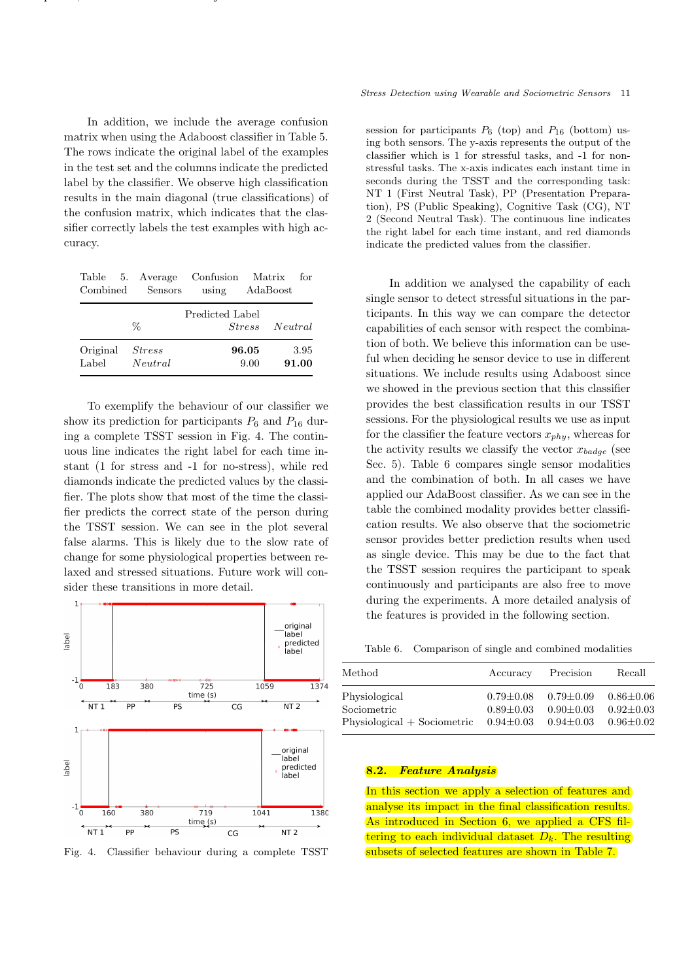In addition, we include the average confusion matrix when using the Adaboost classifier in Table 5. The rows indicate the original label of the examples in the test set and the columns indicate the predicted label by the classifier. We observe high classification results in the main diagonal (true classifications) of the confusion matrix, which indicates that the classifier correctly labels the test examples with high accuracy.

 $\mathbf{1}$  and  $\mathbf{2}$  mozoscalization is  $\mathbf{3}$ 

|                   | Combined Sensors         | Table 5. Average Confusion Matrix<br>using AdaBoost |               |                | for           |
|-------------------|--------------------------|-----------------------------------------------------|---------------|----------------|---------------|
|                   | %                        | Predicted Label                                     |               | Stress Neutral |               |
| Original<br>Label | <i>Stress</i><br>Neutral |                                                     | 96.05<br>9.00 |                | 3.95<br>91.00 |

To exemplify the behaviour of our classifier we show its prediction for participants  $P_6$  and  $P_{16}$  during a complete TSST session in Fig. 4. The continuous line indicates the right label for each time instant (1 for stress and -1 for no-stress), while red diamonds indicate the predicted values by the classifier. The plots show that most of the time the classifier predicts the correct state of the person during the TSST session. We can see in the plot several false alarms. This is likely due to the slow rate of change for some physiological properties between relaxed and stressed situations. Future work will consider these transitions in more detail.



Fig. 4. Classifier behaviour during a complete TSST

session for participants  $P_6$  (top) and  $P_{16}$  (bottom) using both sensors. The y-axis represents the output of the classifier which is 1 for stressful tasks, and -1 for nonstressful tasks. The x-axis indicates each instant time in seconds during the TSST and the corresponding task: NT 1 (First Neutral Task), PP (Presentation Preparation), PS (Public Speaking), Cognitive Task (CG), NT 2 (Second Neutral Task). The continuous line indicates the right label for each time instant, and red diamonds indicate the predicted values from the classifier.

In addition we analysed the capability of each single sensor to detect stressful situations in the participants. In this way we can compare the detector capabilities of each sensor with respect the combination of both. We believe this information can be useful when deciding he sensor device to use in different situations. We include results using Adaboost since we showed in the previous section that this classifier provides the best classification results in our TSST sessions. For the physiological results we use as input for the classifier the feature vectors  $x_{phy}$ , whereas for the activity results we classify the vector  $x_{badge}$  (see Sec. 5). Table 6 compares single sensor modalities and the combination of both. In all cases we have applied our AdaBoost classifier. As we can see in the table the combined modality provides better classification results. We also observe that the sociometric sensor provides better prediction results when used as single device. This may be due to the fact that the TSST session requires the participant to speak continuously and participants are also free to move during the experiments. A more detailed analysis of the features is provided in the following section.

Table 6. Comparison of single and combined modalities

| Method                   | Accuracy        | Precision     | Recall          |
|--------------------------|-----------------|---------------|-----------------|
| Physiological            | $0.79 + 0.08$   | $0.79 + 0.09$ | $0.86 \pm 0.06$ |
| Sociometric              | $0.89 + 0.03$   | $0.90 + 0.03$ | $0.92 + 0.03$   |
| $Physical + Sociometric$ | $0.94 \pm 0.03$ | $0.94 + 0.03$ | $0.96 + 0.02$   |

#### 8.2. Feature Analysis

In this section we apply a selection of features and analyse its impact in the final classification results. As introduced in Section 6, we applied a CFS filtering to each individual dataset  $D_k$ . The resulting subsets of selected features are shown in Table 7.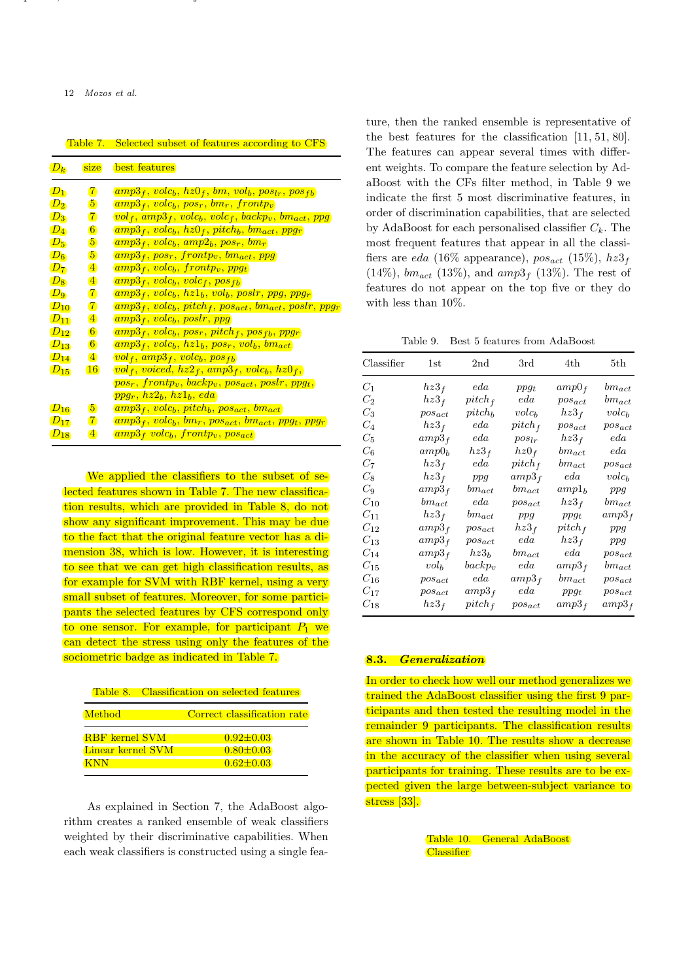$\mathbf{1}$  and  $\mathbf{2}$  mozoscalization is  $\mathbf{3}$ 

Table 7. Selected subset of features according to CFS

| ${\cal D}_k$       | size           | best features                                                                  |
|--------------------|----------------|--------------------------------------------------------------------------------|
| $\mathcal{D}_1$    | 7              | $amp3_f,\,volc_b,\,hz0_f,\,bm,\,vol_b,\,pos_{lr},\,pos_{fb}$                   |
| $D_2$              | 5              | $amp3_f, \, volc_b, \, pos_r, \, bm_r, \, frontp_v$                            |
| $D_3$              | 7              | $vol_f,\,amp3_f,\,volc_b,\,volc_f,\,backpv,\,b_{\,}$                           |
| $\mathcal{D}_4$    | 6              | $amp3_f,\,volc_b,\,hz0_f,\,pitch_b,\,bmact,\,ppg_r$                            |
| $\mathcal{D}_5$    | 5              | $amp3_f, volc_b, amp2_b, pos_r, bm_r$                                          |
| $D_6$              | 5              | $amp3_f, pos_r, frontp_v, bm_{act}, ppg$                                       |
| $D_7$              | 4              | $amp3_f, volc_b, frontp_v, ppg_t$                                              |
| $D_8$              | $\overline{4}$ | $amp3_f, volc_b, volc_f, pos_{fb}$                                             |
| $D_9$              | 7              | $amp3f, volcb, hz1b, volb, poslr, ppg, ppgr$                                   |
| ${\cal D}_{10}$    | 7              | $amp3_f, \, volc_b, \, pitch_f, \, pos_{act}, \, bm_{act}, \, poslr, \, ppg_r$ |
| $D_{11}$           | 4              | $amp3f, volcb, poslr, ppg$                                                     |
| ${\cal D}_{12}$    | 6              | $amp3_f,\,volc_b,\,pos_r,\,pitch_f,\,pos_{fb},\,ppg_r$                         |
| ${\cal D}_{13}$    | 6              | $amp3_f, volc_b, hz1_b, pos_r, vol_b, bm_{act}$                                |
| ${\cal D}_{14}$    | 4              | $vol_f$ , $amp3_f$ , $volc_b$ , $pos_{fb}$                                     |
| $\mathcal{D}_{15}$ | 16             | $vol_f,\,voiced,\,hz2_f,\,amp3_f,\,volc_b,\,hz0_f,$                            |
|                    |                | $pos_r$ , $frontp_v$ , $backp_v$ , $pos_{act}$ , $poslr$ , $ppg_t$ ,           |
|                    |                | $ppg_r,\, hz2_b,\, hz1_b,\, eda$                                               |
| ${\cal D}_{16}$    | 5              | $amp3_f, \, volc_b, \, pitch_b, \, pos_{act}, \, bm_{act}$                     |
| $\mathcal{D}_{17}$ | 7              | $amp3_f, volc_b, bm_r, pos_{act}, bm_{act}, ppg_t, ppg_r$                      |
| ${\cal D}_{18}$    | 4              | $amp3_f\ volc_b,\,frontp_v,\,pos_{act}$                                        |

We applied the classifiers to the subset of selected features shown in Table 7. The new classification results, which are provided in Table 8, do not show any significant improvement. This may be due to the fact that the original feature vector has a dimension 38, which is low. However, it is interesting to see that we can get high classification results, as for example for SVM with RBF kernel, using a very small subset of features. Moreover, for some participants the selected features by CFS correspond only to one sensor. For example, for participant  $P_1$  we can detect the stress using only the features of the sociometric badge as indicated in Table 7.

| $\operatorname{Method}$ | Correct classification rate |
|-------------------------|-----------------------------|
| RBF kernel SVM          | $0.92 + 0.03$               |
| Linear kernel SVM       | $0.80 + 0.03$               |
| KNN.                    | $0.62 \pm 0.03$             |

As explained in Section 7, the AdaBoost algorithm creates a ranked ensemble of weak classifiers weighted by their discriminative capabilities. When each weak classifiers is constructed using a single feature, then the ranked ensemble is representative of the best features for the classification [11, 51, 80]. The features can appear several times with different weights. To compare the feature selection by AdaBoost with the CFs filter method, in Table 9 we indicate the first 5 most discriminative features, in order of discrimination capabilities, that are selected by AdaBoost for each personalised classifier  $C_k$ . The most frequent features that appear in all the classifiers are *eda* (16% appearance),  $pos_{act}$  (15%),  $hz3<sub>f</sub>$  $(14\%), bm_{act} (13\%),$  and  $amp3_f (13\%).$  The rest of features do not appear on the top five or they do with less than 10%.

Table 9. Best 5 features from AdaBoost

| Classifier  | 1st               | 2 <sub>nd</sub>    | 3rd                | 4th                | 5th         |
|-------------|-------------------|--------------------|--------------------|--------------------|-------------|
| $C_1$       | hz3 <sub>f</sub>  | eda                | $ppg_t$            | amp0 <sub>f</sub>  | $_{bnact}$  |
| C2          | hz3 <sub>f</sub>  | pitch <sub>f</sub> | eda                | $pos_{act}$        | $bm_{act}$  |
| $C_3$       | $pos_{act}$       | $pitch_{b}$        | $volc_b$           | $hz3_f$            | $volc_b$    |
| $C_4$       | hz3 <sub>f</sub>  | eda                | pitch <sub>f</sub> | $pos_{act}$        | $pos_{act}$ |
| $C_5$       | amp3 <sub>f</sub> | e da               | $pos_{lr}$         | hz3 <sub>f</sub>   | e da        |
| $C_{\rm 6}$ | amp0 <sub>b</sub> | hz3 <sub>f</sub>   | $hz0_f$            | $bm_{act}$         | e da        |
| $C_7$       | hz3 <sub>f</sub>  | eda                | pitch <sub>f</sub> | $bm_{act}$         | $pos_{act}$ |
| $C_8$       | hz3 <sub>f</sub>  | ppg                | amp3 <sub>f</sub>  | eda                | $volc_b$    |
| $C_9$       | amp3 <sub>f</sub> | $bm_{act}$         | $bm_{act}$         | amp1 <sub>b</sub>  | ppg         |
| $C_{10}$    | $bm_{act}$        | eda                | $pos_{act}$        | hz3f               | $bm_{act}$  |
| $C_{11}$    | hz3 <sub>f</sub>  | $bm_{act}$         | ppg                | ppgt               | $amp3_f$    |
| $C_{12}$    | amp3 <sub>f</sub> | $pos_{act}$        | $hz3_f$            | pitch <sub>f</sub> | ppg         |
| $C_{13}$    | amp3 <sub>f</sub> | $pos_{act}$        | e da               | hz3 <sub>f</sub>   | ppg         |
| $C_{14}$    | $amp3_f$          | $hz3_b$            | $bm_{act}$         | eda                | $pos_{act}$ |
| $C_{15}$    | $vol_b$           | $_{\  \, backp_v}$ | e da               | amp3 <sub>f</sub>  | $_{bmax}$   |
| $C_{16}$    | $pos_{act}$       | eda                | amp3 <sub>f</sub>  | $bm_{act}$         | $pos_{act}$ |
| $C_{17}$    | $pos_{act}$       | атр $3_f$          | e da               | $ppg_{t}$          | $pos_{act}$ |
| $C_{18}$    | $hz3_f$           | pitch <sub>f</sub> | $pos_{act}$        | $amp3_f$           | атр $3_f$   |

#### 8.3. Generalization

In order to check how well our method generalizes we trained the AdaBoost classifier using the first 9 participants and then tested the resulting model in the remainder 9 participants. The classification results are shown in Table 10. The results show a decrease in the accuracy of the classifier when using several participants for training. These results are to be expected given the large between-subject variance to stress [33].

> Table 10. General AdaBoost Classifier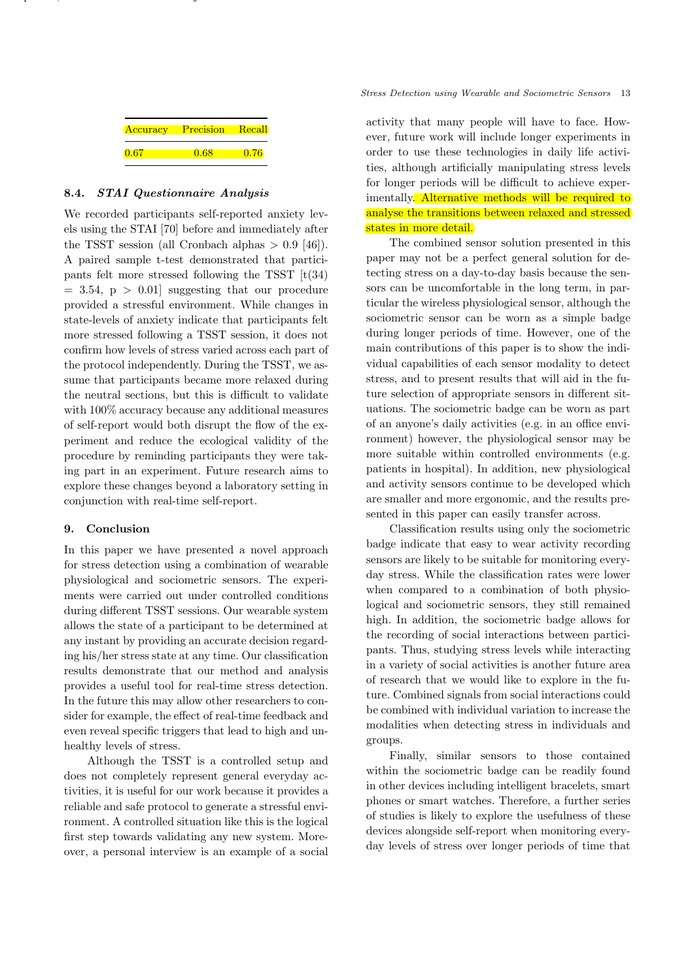| Accuracy | Precision | Recall |
|----------|-----------|--------|
| 0.67     | 0.68      | 0.76   |

### 8.4. STAI Questionnaire Analysis

 $\mathbf{1}$  and  $\mathbf{2}$  mozoscalization is  $\mathbf{3}$ 

We recorded participants self-reported anxiety levels using the STAI [70] before and immediately after the TSST session (all Cronbach alphas  $> 0.9$  [46]). A paired sample t-test demonstrated that participants felt more stressed following the TSST  $[t(34)]$  $= 3.54$ ,  $p > 0.01$  suggesting that our procedure provided a stressful environment. While changes in state-levels of anxiety indicate that participants felt more stressed following a TSST session, it does not confirm how levels of stress varied across each part of the protocol independently. During the TSST, we assume that participants became more relaxed during the neutral sections, but this is difficult to validate with 100% accuracy because any additional measures of self-report would both disrupt the flow of the experiment and reduce the ecological validity of the procedure by reminding participants they were taking part in an experiment. Future research aims to explore these changes beyond a laboratory setting in conjunction with real-time self-report.

# 9. Conclusion

In this paper we have presented a novel approach for stress detection using a combination of wearable physiological and sociometric sensors. The experiments were carried out under controlled conditions during different TSST sessions. Our wearable system allows the state of a participant to be determined at any instant by providing an accurate decision regarding his/her stress state at any time. Our classification results demonstrate that our method and analysis provides a useful tool for real-time stress detection. In the future this may allow other researchers to consider for example, the effect of real-time feedback and even reveal specific triggers that lead to high and unhealthy levels of stress.

Although the TSST is a controlled setup and does not completely represent general everyday activities, it is useful for our work because it provides a reliable and safe protocol to generate a stressful environment. A controlled situation like this is the logical first step towards validating any new system. Moreover, a personal interview is an example of a social activity that many people will have to face. However, future work will include longer experiments in order to use these technologies in daily life activities, although artificially manipulating stress levels for longer periods will be difficult to achieve experimentally. Alternative methods will be required to analyse the transitions between relaxed and stressed states in more detail.

The combined sensor solution presented in this paper may not be a perfect general solution for detecting stress on a day-to-day basis because the sensors can be uncomfortable in the long term, in particular the wireless physiological sensor, although the sociometric sensor can be worn as a simple badge during longer periods of time. However, one of the main contributions of this paper is to show the individual capabilities of each sensor modality to detect stress, and to present results that will aid in the future selection of appropriate sensors in different situations. The sociometric badge can be worn as part of an anyone's daily activities (e.g. in an office environment) however, the physiological sensor may be more suitable within controlled environments (e.g. patients in hospital). In addition, new physiological and activity sensors continue to be developed which are smaller and more ergonomic, and the results presented in this paper can easily transfer across.

Classification results using only the sociometric badge indicate that easy to wear activity recording sensors are likely to be suitable for monitoring everyday stress. While the classification rates were lower when compared to a combination of both physiological and sociometric sensors, they still remained high. In addition, the sociometric badge allows for the recording of social interactions between participants. Thus, studying stress levels while interacting in a variety of social activities is another future area of research that we would like to explore in the future. Combined signals from social interactions could be combined with individual variation to increase the modalities when detecting stress in individuals and groups.

Finally, similar sensors to those contained within the sociometric badge can be readily found in other devices including intelligent bracelets, smart phones or smart watches. Therefore, a further series of studies is likely to explore the usefulness of these devices alongside self-report when monitoring everyday levels of stress over longer periods of time that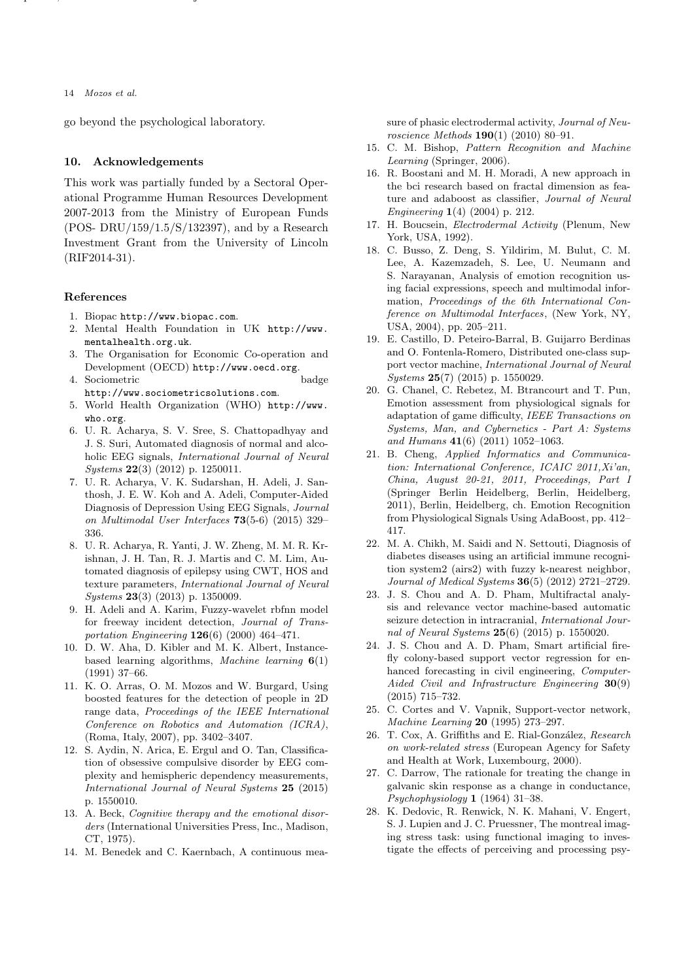$\mathbf{1}$  and  $\mathbf{2}$  mozoscalization is  $\mathbf{3}$ 

go beyond the psychological laboratory.

### 10. Acknowledgements

This work was partially funded by a Sectoral Operational Programme Human Resources Development 2007-2013 from the Ministry of European Funds (POS- DRU/159/1.5/S/132397), and by a Research Investment Grant from the University of Lincoln (RIF2014-31).

### References

- 1. Biopac http://www.biopac.com.
- 2. Mental Health Foundation in UK http://www. mentalhealth.org.uk.
- 3. The Organisation for Economic Co-operation and Development (OECD) http://www.oecd.org.
- 4. Sociometric http://www.sociometricsolutions.com.
- 5. World Health Organization (WHO) http://www. who.org.
- 6. U. R. Acharya, S. V. Sree, S. Chattopadhyay and J. S. Suri, Automated diagnosis of normal and alcoholic EEG signals, International Journal of Neural  $Systems 22(3) (2012) p. 1250011.$
- 7. U. R. Acharya, V. K. Sudarshan, H. Adeli, J. Santhosh, J. E. W. Koh and A. Adeli, Computer-Aided Diagnosis of Depression Using EEG Signals, Journal on Multimodal User Interfaces 73(5-6) (2015) 329– 336.
- 8. U. R. Acharya, R. Yanti, J. W. Zheng, M. M. R. Krishnan, J. H. Tan, R. J. Martis and C. M. Lim, Automated diagnosis of epilepsy using CWT, HOS and texture parameters, International Journal of Neural Systems 23(3) (2013) p. 1350009.
- 9. H. Adeli and A. Karim, Fuzzy-wavelet rbfnn model for freeway incident detection, Journal of Transportation Engineering  $126(6)$  (2000) 464-471.
- 10. D. W. Aha, D. Kibler and M. K. Albert, Instancebased learning algorithms, Machine learning  $6(1)$ (1991) 37–66.
- 11. K. O. Arras, O. M. Mozos and W. Burgard, Using boosted features for the detection of people in 2D range data, Proceedings of the IEEE International Conference on Robotics and Automation (ICRA), (Roma, Italy, 2007), pp. 3402–3407.
- 12. S. Aydin, N. Arica, E. Ergul and O. Tan, Classification of obsessive compulsive disorder by EEG complexity and hemispheric dependency measurements, International Journal of Neural Systems 25 (2015) p. 1550010.
- 13. A. Beck, Cognitive therapy and the emotional disorders (International Universities Press, Inc., Madison, CT, 1975).
- 14. M. Benedek and C. Kaernbach, A continuous mea-

sure of phasic electrodermal activity, Journal of Neuroscience Methods 190(1) (2010) 80–91.

- 15. C. M. Bishop, Pattern Recognition and Machine Learning (Springer, 2006).
- 16. R. Boostani and M. H. Moradi, A new approach in the bci research based on fractal dimension as feature and adaboost as classifier, Journal of Neural Engineering 1(4) (2004) p. 212.
- 17. H. Boucsein, Electrodermal Activity (Plenum, New York, USA, 1992).
- 18. C. Busso, Z. Deng, S. Yildirim, M. Bulut, C. M. Lee, A. Kazemzadeh, S. Lee, U. Neumann and S. Narayanan, Analysis of emotion recognition using facial expressions, speech and multimodal information, Proceedings of the 6th International Conference on Multimodal Interfaces, (New York, NY, USA, 2004), pp. 205–211.
- 19. E. Castillo, D. Peteiro-Barral, B. Guijarro Berdinas and O. Fontenla-Romero, Distributed one-class support vector machine, International Journal of Neural Systems 25(7) (2015) p. 1550029.
- 20. G. Chanel, C. Rebetez, M. Btrancourt and T. Pun, Emotion assessment from physiological signals for adaptation of game difficulty, IEEE Transactions on Systems, Man, and Cybernetics - Part A: Systems and Humans 41(6) (2011) 1052–1063.
- 21. B. Cheng, Applied Informatics and Communication: International Conference, ICAIC 2011,Xi'an, China, August 20-21, 2011, Proceedings, Part I (Springer Berlin Heidelberg, Berlin, Heidelberg, 2011), Berlin, Heidelberg, ch. Emotion Recognition from Physiological Signals Using AdaBoost, pp. 412– 417.
- 22. M. A. Chikh, M. Saidi and N. Settouti, Diagnosis of diabetes diseases using an artificial immune recognition system2 (airs2) with fuzzy k-nearest neighbor, Journal of Medical Systems 36(5) (2012) 2721–2729.
- 23. J. S. Chou and A. D. Pham, Multifractal analysis and relevance vector machine-based automatic seizure detection in intracranial, International Journal of Neural Systems 25(6) (2015) p. 1550020.
- 24. J. S. Chou and A. D. Pham, Smart artificial firefly colony-based support vector regression for enhanced forecasting in civil engineering, Computer-Aided Civil and Infrastructure Engineering 30(9) (2015) 715–732.
- 25. C. Cortes and V. Vapnik, Support-vector network, Machine Learning 20 (1995) 273–297.
- 26. T. Cox, A. Griffiths and E. Rial-González, Research on work-related stress (European Agency for Safety and Health at Work, Luxembourg, 2000).
- 27. C. Darrow, The rationale for treating the change in galvanic skin response as a change in conductance, Psychophysiology 1 (1964) 31–38.
- 28. K. Dedovic, R. Renwick, N. K. Mahani, V. Engert, S. J. Lupien and J. C. Pruessner, The montreal imaging stress task: using functional imaging to investigate the effects of perceiving and processing psy-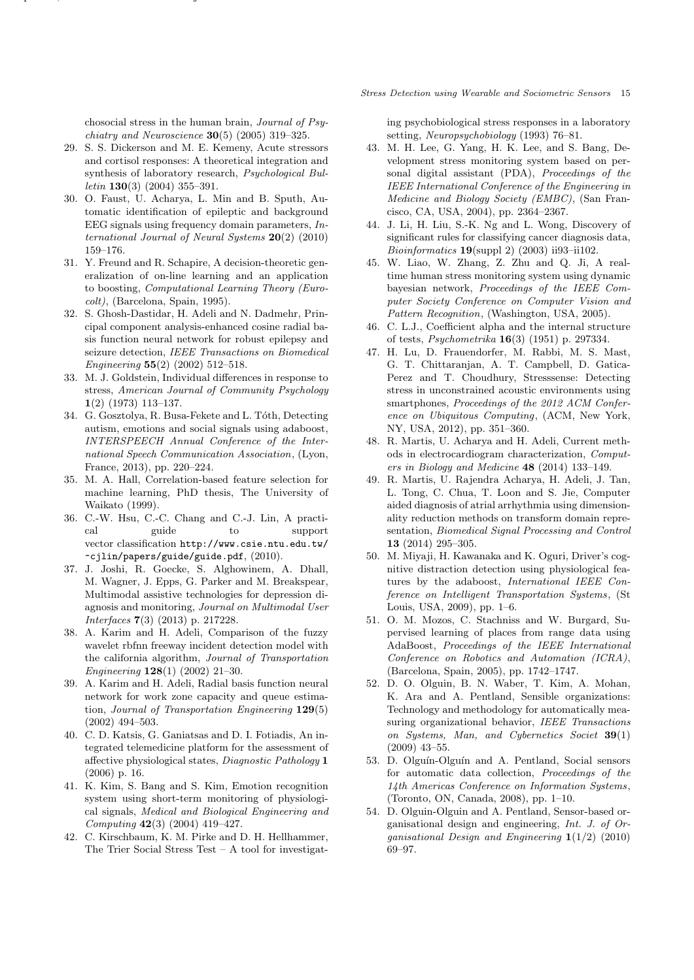chosocial stress in the human brain, Journal of Psychiatry and Neuroscience  $30(5)$  (2005) 319-325.

29. S. S. Dickerson and M. E. Kemeny, Acute stressors and cortisol responses: A theoretical integration and synthesis of laboratory research, Psychological Bul $letin 130(3)$  (2004) 355-391.

 $\mathbf{1}$  and  $\mathbf{2}$  mozoscalization is  $\mathbf{3}$ 

- 30. O. Faust, U. Acharya, L. Min and B. Sputh, Automatic identification of epileptic and background EEG signals using frequency domain parameters, International Journal of Neural Systems 20(2) (2010) 159–176.
- 31. Y. Freund and R. Schapire, A decision-theoretic generalization of on-line learning and an application to boosting, Computational Learning Theory (Eurocolt), (Barcelona, Spain, 1995).
- 32. S. Ghosh-Dastidar, H. Adeli and N. Dadmehr, Principal component analysis-enhanced cosine radial basis function neural network for robust epilepsy and seizure detection, IEEE Transactions on Biomedical Engineering 55(2) (2002) 512–518.
- 33. M. J. Goldstein, Individual differences in response to stress, American Journal of Community Psychology 1(2) (1973) 113–137.
- 34. G. Gosztolya, R. Busa-Fekete and L. Tóth, Detecting autism, emotions and social signals using adaboost, INTERSPEECH Annual Conference of the International Speech Communication Association, (Lyon, France, 2013), pp. 220–224.
- 35. M. A. Hall, Correlation-based feature selection for machine learning, PhD thesis, The University of Waikato (1999).
- 36. C.-W. Hsu, C.-C. Chang and C.-J. Lin, A practical guide to support vector classification http://www.csie.ntu.edu.tw/ ~cjlin/papers/guide/guide.pdf, (2010).
- 37. J. Joshi, R. Goecke, S. Alghowinem, A. Dhall, M. Wagner, J. Epps, G. Parker and M. Breakspear, Multimodal assistive technologies for depression diagnosis and monitoring, Journal on Multimodal User Interfaces 7(3) (2013) p. 217228.
- 38. A. Karim and H. Adeli, Comparison of the fuzzy wavelet rbfnn freeway incident detection model with the california algorithm, Journal of Transportation Engineering  $128(1)$  (2002) 21-30.
- 39. A. Karim and H. Adeli, Radial basis function neural network for work zone capacity and queue estimation, Journal of Transportation Engineering 129(5) (2002) 494–503.
- 40. C. D. Katsis, G. Ganiatsas and D. I. Fotiadis, An integrated telemedicine platform for the assessment of affective physiological states, Diagnostic Pathology 1 (2006) p. 16.
- 41. K. Kim, S. Bang and S. Kim, Emotion recognition system using short-term monitoring of physiological signals, Medical and Biological Engineering and Computing 42(3) (2004) 419–427.
- 42. C. Kirschbaum, K. M. Pirke and D. H. Hellhammer, The Trier Social Stress Test – A tool for investigat-

ing psychobiological stress responses in a laboratory setting, Neuropsychobiology (1993) 76–81.

- 43. M. H. Lee, G. Yang, H. K. Lee, and S. Bang, Development stress monitoring system based on personal digital assistant (PDA), *Proceedings of the* IEEE International Conference of the Engineering in Medicine and Biology Society (EMBC), (San Francisco, CA, USA, 2004), pp. 2364–2367.
- 44. J. Li, H. Liu, S.-K. Ng and L. Wong, Discovery of significant rules for classifying cancer diagnosis data, Bioinformatics  $19$ (suppl 2) (2003) ii93-ii102.
- 45. W. Liao, W. Zhang, Z. Zhu and Q. Ji, A realtime human stress monitoring system using dynamic bayesian network, Proceedings of the IEEE Computer Society Conference on Computer Vision and Pattern Recognition, (Washington, USA, 2005).
- 46. C. L.J., Coefficient alpha and the internal structure of tests, Psychometrika 16(3) (1951) p. 297334.
- 47. H. Lu, D. Frauendorfer, M. Rabbi, M. S. Mast, G. T. Chittaranjan, A. T. Campbell, D. Gatica-Perez and T. Choudhury, Stresssense: Detecting stress in unconstrained acoustic environments using smartphones, Proceedings of the 2012 ACM Conference on Ubiquitous Computing, (ACM, New York, NY, USA, 2012), pp. 351–360.
- 48. R. Martis, U. Acharya and H. Adeli, Current methods in electrocardiogram characterization, Computers in Biology and Medicine 48 (2014) 133–149.
- 49. R. Martis, U. Rajendra Acharya, H. Adeli, J. Tan, L. Tong, C. Chua, T. Loon and S. Jie, Computer aided diagnosis of atrial arrhythmia using dimensionality reduction methods on transform domain representation, Biomedical Signal Processing and Control 13 (2014) 295–305.
- 50. M. Miyaji, H. Kawanaka and K. Oguri, Driver's cognitive distraction detection using physiological features by the adaboost, International IEEE Conference on Intelligent Transportation Systems, (St Louis, USA, 2009), pp. 1–6.
- 51. O. M. Mozos, C. Stachniss and W. Burgard, Supervised learning of places from range data using AdaBoost, Proceedings of the IEEE International Conference on Robotics and Automation (ICRA), (Barcelona, Spain, 2005), pp. 1742–1747.
- 52. D. O. Olguin, B. N. Waber, T. Kim, A. Mohan, K. Ara and A. Pentland, Sensible organizations: Technology and methodology for automatically measuring organizational behavior, IEEE Transactions on Systems, Man, and Cybernetics Societ 39(1) (2009) 43–55.
- 53. D. Olguín-Olguín and A. Pentland, Social sensors for automatic data collection, Proceedings of the 14th Americas Conference on Information Systems, (Toronto, ON, Canada, 2008), pp. 1–10.
- 54. D. Olguin-Olguin and A. Pentland, Sensor-based organisational design and engineering, Int. J. of Orqanisational Design and Engineering  $1(1/2)$  (2010) 69–97.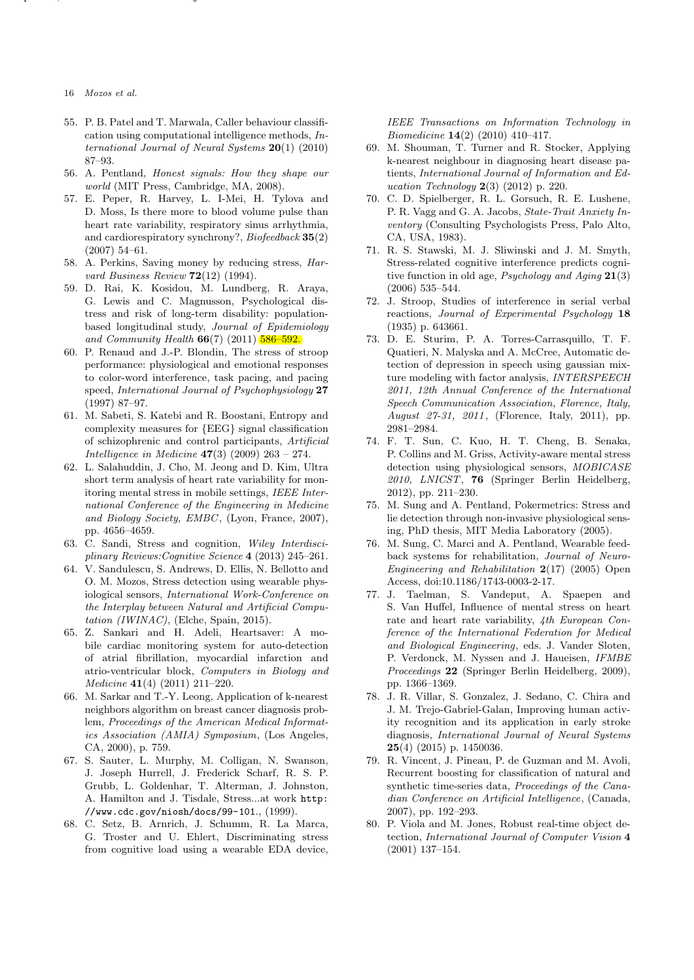$\mathbf{1}$  and  $\mathbf{2}$  mozoscalization is  $\mathbf{3}$ 

- 55. P. B. Patel and T. Marwala, Caller behaviour classification using computational intelligence methods, International Journal of Neural Systems  $20(1)$  (2010) 87–93.
- 56. A. Pentland, Honest signals: How they shape our world (MIT Press, Cambridge, MA, 2008).
- 57. E. Peper, R. Harvey, L. I-Mei, H. Tylova and D. Moss, Is there more to blood volume pulse than heart rate variability, respiratory sinus arrhythmia, and cardiorespiratory synchrony?, Biofeedback 35(2) (2007) 54–61.
- 58. A. Perkins, Saving money by reducing stress, Harvard Business Review 72(12) (1994).
- 59. D. Rai, K. Kosidou, M. Lundberg, R. Araya, G. Lewis and C. Magnusson, Psychological distress and risk of long-term disability: populationbased longitudinal study, *Journal of Epidemiology* and Community Health  $66(7)$  (2011) 586-592.
- 60. P. Renaud and J.-P. Blondin, The stress of stroop performance: physiological and emotional responses to color-word interference, task pacing, and pacing speed, International Journal of Psychophysiology 27 (1997) 87–97.
- 61. M. Sabeti, S. Katebi and R. Boostani, Entropy and complexity measures for {EEG} signal classification of schizophrenic and control participants, Artificial *Intelligence in Medicine*  $47(3)$  (2009) 263 – 274.
- 62. L. Salahuddin, J. Cho, M. Jeong and D. Kim, Ultra short term analysis of heart rate variability for monitoring mental stress in mobile settings, IEEE International Conference of the Engineering in Medicine and Biology Society, EMBC, (Lyon, France, 2007), pp. 4656–4659.
- 63. C. Sandi, Stress and cognition, Wiley Interdisciplinary Reviews:Cognitive Science 4 (2013) 245–261.
- 64. V. Sandulescu, S. Andrews, D. Ellis, N. Bellotto and O. M. Mozos, Stress detection using wearable physiological sensors, International Work-Conference on the Interplay between Natural and Artificial Computation  $(IWINAC)$ , (Elche, Spain, 2015).
- 65. Z. Sankari and H. Adeli, Heartsaver: A mobile cardiac monitoring system for auto-detection of atrial fibrillation, myocardial infarction and atrio-ventricular block, Computers in Biology and Medicine 41(4) (2011) 211–220.
- 66. M. Sarkar and T.-Y. Leong, Application of k-nearest neighbors algorithm on breast cancer diagnosis problem, Proceedings of the American Medical Informatics Association (AMIA) Symposium, (Los Angeles, CA, 2000), p. 759.
- 67. S. Sauter, L. Murphy, M. Colligan, N. Swanson, J. Joseph Hurrell, J. Frederick Scharf, R. S. P. Grubb, L. Goldenhar, T. Alterman, J. Johnston, A. Hamilton and J. Tisdale, Stress...at work http: //www.cdc.gov/niosh/docs/99-101., (1999).
- 68. C. Setz, B. Arnrich, J. Schumm, R. La Marca, G. Troster and U. Ehlert, Discriminating stress from cognitive load using a wearable EDA device,

IEEE Transactions on Information Technology in Biomedicine 14(2) (2010) 410–417.

- 69. M. Shouman, T. Turner and R. Stocker, Applying k-nearest neighbour in diagnosing heart disease patients, International Journal of Information and Education Technology  $2(3)$  (2012) p. 220.
- 70. C. D. Spielberger, R. L. Gorsuch, R. E. Lushene, P. R. Vagg and G. A. Jacobs, State-Trait Anxiety Inventory (Consulting Psychologists Press, Palo Alto, CA, USA, 1983).
- 71. R. S. Stawski, M. J. Sliwinski and J. M. Smyth, Stress-related cognitive interference predicts cognitive function in old age, Psychology and Aging 21(3) (2006) 535–544.
- 72. J. Stroop, Studies of interference in serial verbal reactions, Journal of Experimental Psychology 18 (1935) p. 643661.
- 73. D. E. Sturim, P. A. Torres-Carrasquillo, T. F. Quatieri, N. Malyska and A. McCree, Automatic detection of depression in speech using gaussian mixture modeling with factor analysis, INTERSPEECH 2011, 12th Annual Conference of the International Speech Communication Association, Florence, Italy, August 27-31, 2011, (Florence, Italy, 2011), pp. 2981–2984.
- 74. F. T. Sun, C. Kuo, H. T. Cheng, B. Senaka, P. Collins and M. Griss, Activity-aware mental stress detection using physiological sensors, MOBICASE 2010, LNICST, 76 (Springer Berlin Heidelberg, 2012), pp. 211–230.
- 75. M. Sung and A. Pentland, Pokermetrics: Stress and lie detection through non-invasive physiological sensing, PhD thesis, MIT Media Laboratory (2005).
- 76. M. Sung, C. Marci and A. Pentland, Wearable feedback systems for rehabilitation, Journal of Neuro-Engineering and Rehabilitation 2(17) (2005) Open Access, doi:10.1186/1743-0003-2-17.
- 77. J. Taelman, S. Vandeput, A. Spaepen and S. Van Huffel, Influence of mental stress on heart rate and heart rate variability, 4th European Conference of the International Federation for Medical and Biological Engineering, eds. J. Vander Sloten, P. Verdonck, M. Nyssen and J. Haueisen, IFMBE Proceedings 22 (Springer Berlin Heidelberg, 2009), pp. 1366–1369.
- 78. J. R. Villar, S. Gonzalez, J. Sedano, C. Chira and J. M. Trejo-Gabriel-Galan, Improving human activity recognition and its application in early stroke diagnosis, International Journal of Neural Systems  $25(4)$  (2015) p. 1450036.
- 79. R. Vincent, J. Pineau, P. de Guzman and M. Avoli, Recurrent boosting for classification of natural and synthetic time-series data, Proceedings of the Canadian Conference on Artificial Intelligence, (Canada, 2007), pp. 192–293.
- 80. P. Viola and M. Jones, Robust real-time object detection, International Journal of Computer Vision 4 (2001) 137–154.